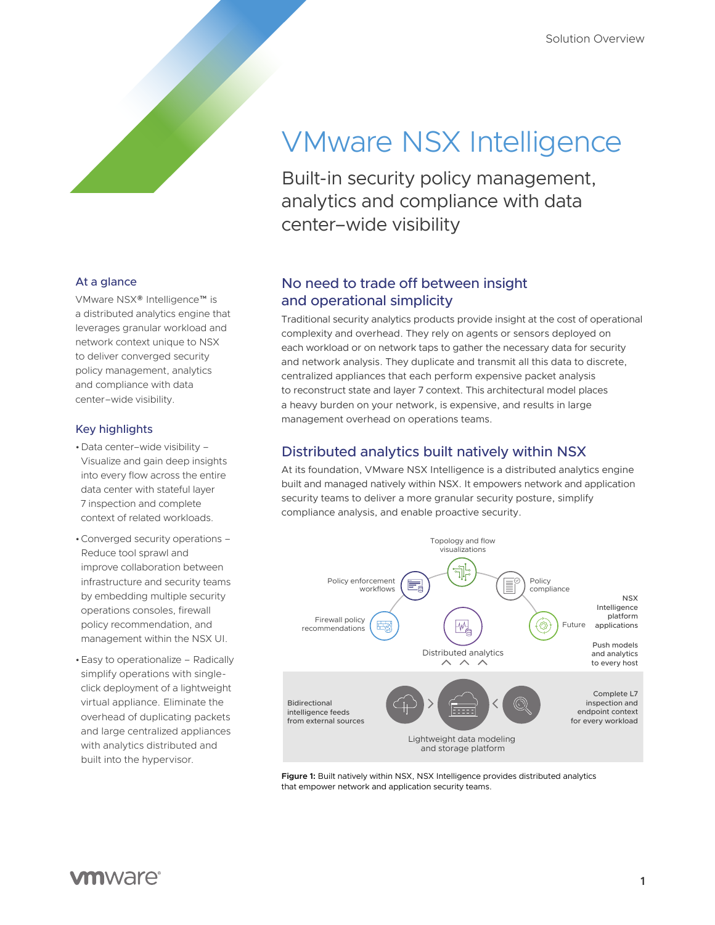# VMware NSX Intelligence

Built-in security policy management, analytics and compliance with data center–wide visibility

## At a glance

VMware NSX® Intelligence™ is a distributed analytics engine that leverages granular workload and network context unique to NSX to deliver converged security policy management, analytics and compliance with data center–wide visibility.

### Key highlights

- •Data center–wide visibility Visualize and gain deep insights into every flow across the entire data center with stateful layer 7 inspection and complete context of related workloads.
- •Converged security operations Reduce tool sprawl and improve collaboration between infrastructure and security teams by embedding multiple security operations consoles, firewall policy recommendation, and management within the NSX UI.
- •Easy to operationalize Radically simplify operations with singleclick deployment of a lightweight virtual appliance. Eliminate the overhead of duplicating packets and large centralized appliances with analytics distributed and built into the hypervisor.

# No need to trade off between insight and operational simplicity

Traditional security analytics products provide insight at the cost of operational complexity and overhead. They rely on agents or sensors deployed on each workload or on network taps to gather the necessary data for security and network analysis. They duplicate and transmit all this data to discrete, centralized appliances that each perform expensive packet analysis to reconstruct state and layer 7 context. This architectural model places a heavy burden on your network, is expensive, and results in large management overhead on operations teams.

# Distributed analytics built natively within NSX

At its foundation, VMware NSX Intelligence is a distributed analytics engine built and managed natively within NSX. It empowers network and application security teams to deliver a more granular security posture, simplify compliance analysis, and enable proactive security.



**Figure 1:** Built natively within NSX, NSX Intelligence provides distributed analytics that empower network and application security teams.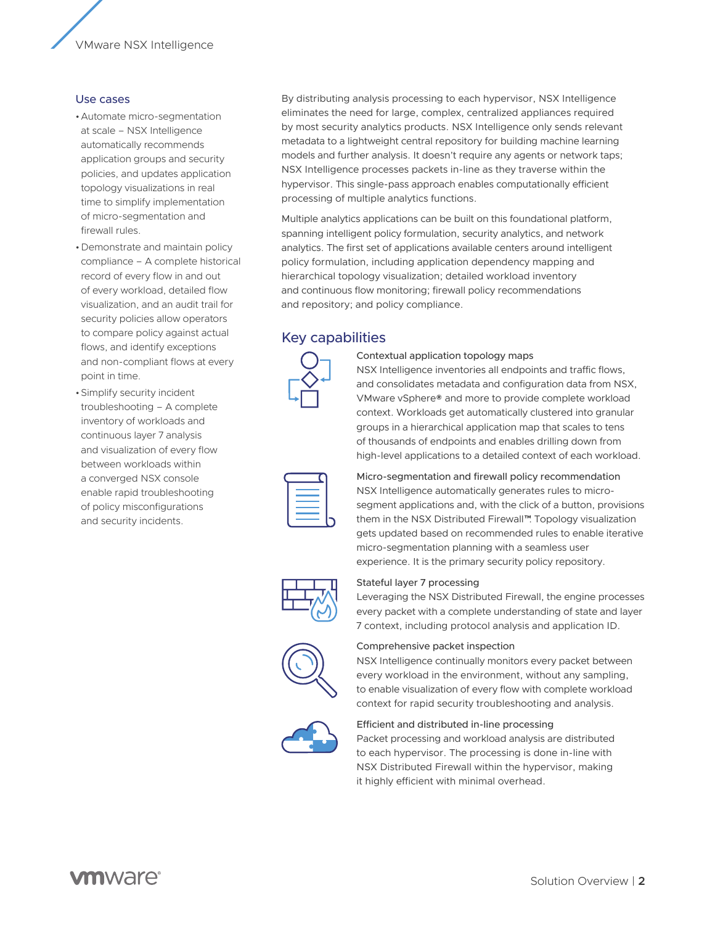VMware NSX Intelligence

#### Use cases

- •Automate micro-segmentation at scale – NSX Intelligence automatically recommends application groups and security policies, and updates application topology visualizations in real time to simplify implementation of micro-segmentation and firewall rules.
- •Demonstrate and maintain policy compliance – A complete historical record of every flow in and out of every workload, detailed flow visualization, and an audit trail for security policies allow operators to compare policy against actual flows, and identify exceptions and non-compliant flows at every point in time.
- •Simplify security incident troubleshooting – A complete inventory of workloads and continuous layer 7 analysis and visualization of every flow between workloads within a converged NSX console enable rapid troubleshooting of policy misconfigurations and security incidents.

By distributing analysis processing to each hypervisor, NSX Intelligence eliminates the need for large, complex, centralized appliances required by most security analytics products. NSX Intelligence only sends relevant metadata to a lightweight central repository for building machine learning models and further analysis. It doesn't require any agents or network taps; NSX Intelligence processes packets in-line as they traverse within the hypervisor. This single-pass approach enables computationally efficient processing of multiple analytics functions.

Multiple analytics applications can be built on this foundational platform, spanning intelligent policy formulation, security analytics, and network analytics. The first set of applications available centers around intelligent policy formulation, including application dependency mapping and hierarchical topology visualization; detailed workload inventory and continuous flow monitoring; firewall policy recommendations and repository; and policy compliance.

## Key capabilities



Contextual application topology maps

NSX Intelligence inventories all endpoints and traffic flows, and consolidates metadata and configuration data from NSX, VMware vSphere® and more to provide complete workload context. Workloads get automatically clustered into granular groups in a hierarchical application map that scales to tens of thousands of endpoints and enables drilling down from high-level applications to a detailed context of each workload.



Micro-segmentation and firewall policy recommendation NSX Intelligence automatically generates rules to microsegment applications and, with the click of a button, provisions them in the NSX Distributed Firewall™. Topology visualization gets updated based on recommended rules to enable iterative micro-segmentation planning with a seamless user experience. It is the primary security policy repository.



Stateful layer 7 processing

Leveraging the NSX Distributed Firewall, the engine processes every packet with a complete understanding of state and layer 7 context, including protocol analysis and application ID.



Comprehensive packet inspection

NSX Intelligence continually monitors every packet between every workload in the environment, without any sampling, to enable visualization of every flow with complete workload context for rapid security troubleshooting and analysis.



#### Efficient and distributed in-line processing

Packet processing and workload analysis are distributed to each hypervisor. The processing is done in-line with NSX Distributed Firewall within the hypervisor, making it highly efficient with minimal overhead.